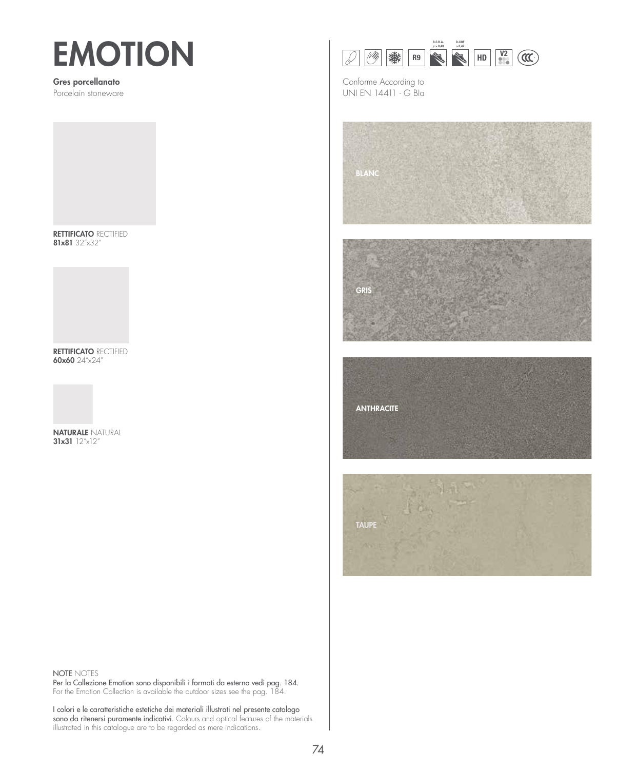# **EMOTION**

### Gres porcellanato

Porcelain stoneware

RETTIFICATO RECTIFIED 81x81 32"x32"

RETTIFICATO RECTIFIED 60x60 24"x24"



31x31 12"x12"



Conforme According to UNI EN 14411 - G BIa



**ANTHRACITE** 



### NOTE NOTES

Per la Collezione Emotion sono disponibili i formati da esterno vedi pag. 184. For the Emotion Collection is available the outdoor sizes see the pag. 184.

I colori e le caratteristiche estetiche dei materiali illustrati nel presente catalogo sono da ritenersi puramente indicativi. Colours and optical features of the materials illustrated in this catalogue are to be regarded as mere indications.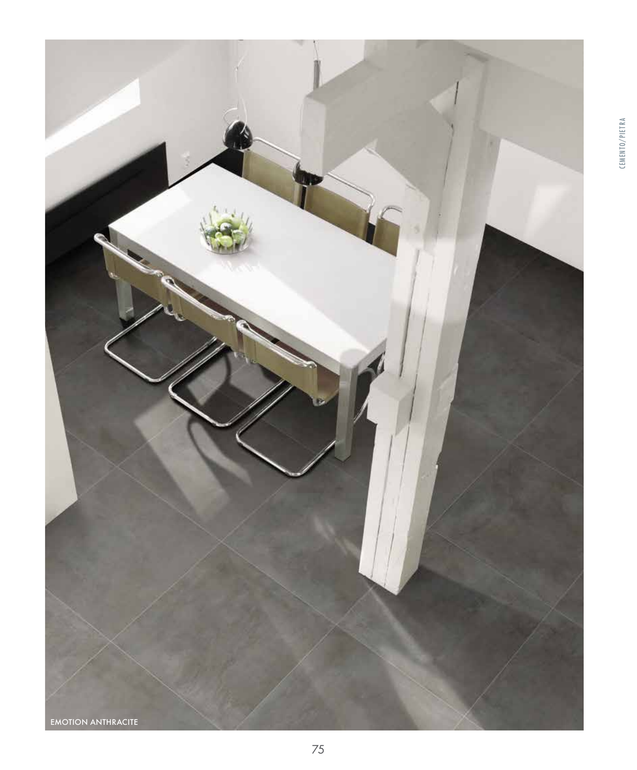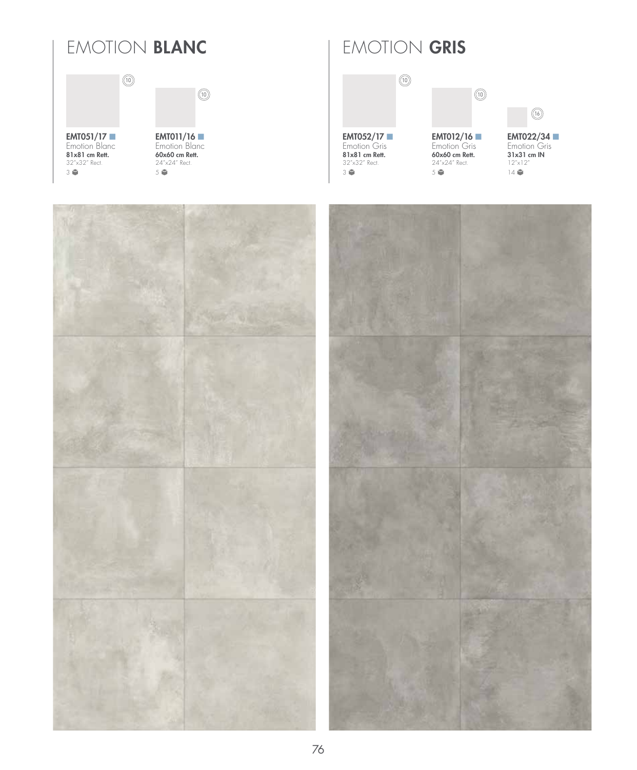### EMOTION **BLANC** | EMOTION **GRIS**

 $\circledR$ 



EMT051/17 ■ Emotion Blanc<br><mark>81x81 cm Rett.</mark> 32"x32" Rect. 3

Emotion Blanc<br>**60x60 cm Rett.** 24"x24" Rect. 5



EMT012/16 ■ Emotion Gris<br>**60x60 cm Rett.** 24"x24" Rect. 5

10



EMT022/34 Emotion Gris 31x31 cm IN  $12" \times 12"$ 14

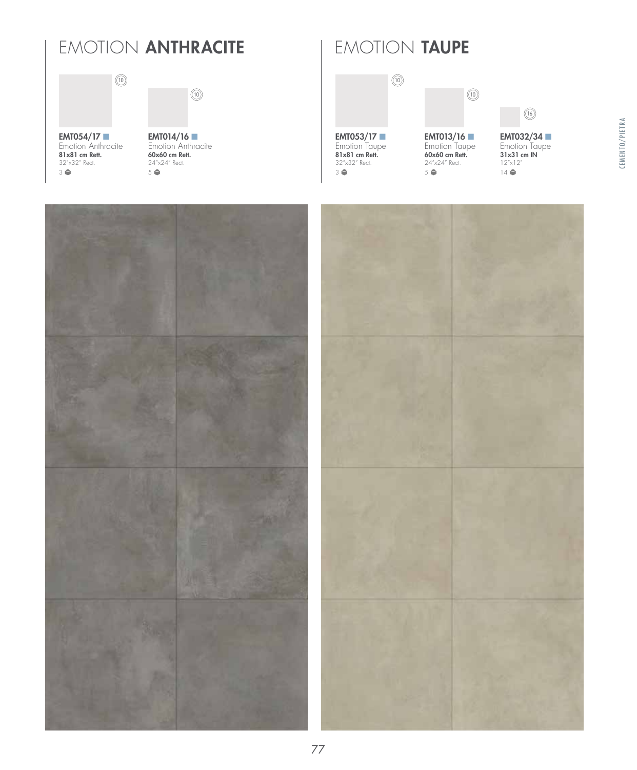# EMOTION **ANTHRACITE** | EMOTION **TAUPE**

 $\circledR$ 





 $\circledR$ 



32"x32" Rect. 3

EMT013/16 Emotion Taupe<br>**60x60 cm Rett.** 24"x24" Rect. 5

10



EMT032/34 Emotion Taupe<br>31x31 cm IN 12"x12"  $14$ 

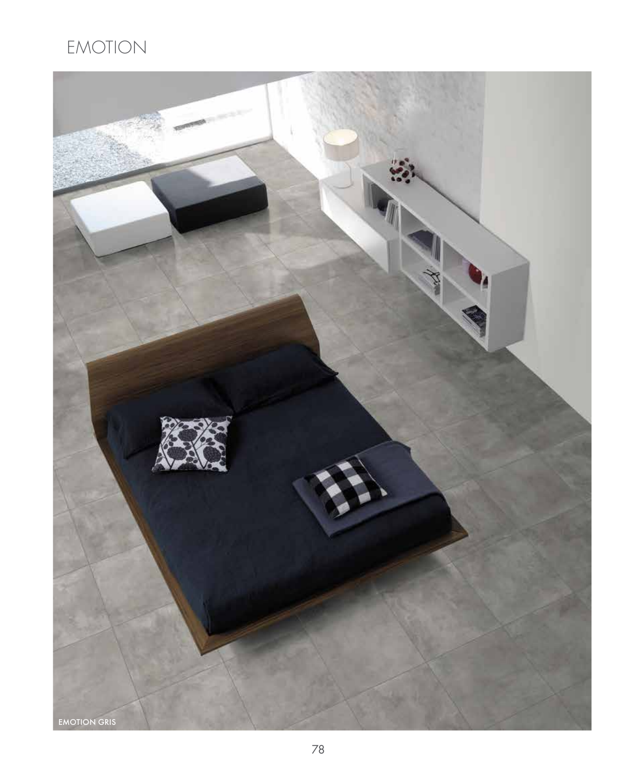# EMOTION